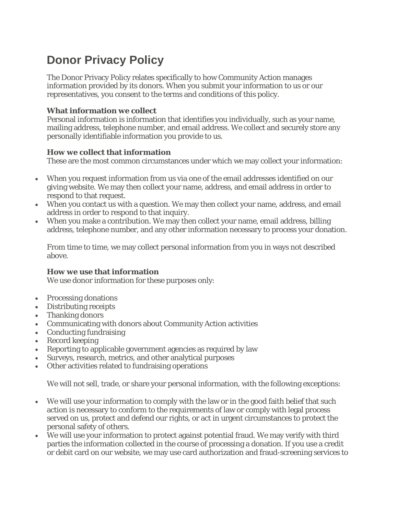# **Donor Privacy Policy**

The Donor Privacy Policy relates specifically to how Community Action manages information provided by its donors. When you submit your information to us or our representatives, you consent to the terms and conditions of this policy.

## **What information we collect**

Personal information is information that identifies you individually, such as your name, mailing address, telephone number, and email address. We collect and securely store any personally identifiable information you provide to us.

## **How we collect that information**

These are the most common circumstances under which we may collect your information:

- When you request information from us via one of the email addresses identified on our giving website. We may then collect your name, address, and email address in order to respond to that request.
- When you contact us with a question. We may then collect your name, address, and email address in order to respond to that inquiry.
- When you make a contribution. We may then collect your name, email address, billing address, telephone number, and any other information necessary to process your donation.

From time to time, we may collect personal information from you in ways not described above.

# **How we use that information**

We use donor information for these purposes only:

- Processing donations
- Distributing receipts
- Thanking donors
- Communicating with donors about Community Action activities
- Conducting fundraising
- Record keeping
- Reporting to applicable government agencies as required by law
- Surveys, research, metrics, and other analytical purposes
- Other activities related to fundraising operations

We will not sell, trade, or share your personal information, with the following exceptions:

- We will use your information to comply with the law or in the good faith belief that such action is necessary to conform to the requirements of law or comply with legal process served on us, protect and defend our rights, or act in urgent circumstances to protect the personal safety of others.
- We will use your information to protect against potential fraud. We may verify with third parties the information collected in the course of processing a donation. If you use a credit or debit card on our website, we may use card authorization and fraud-screening services to